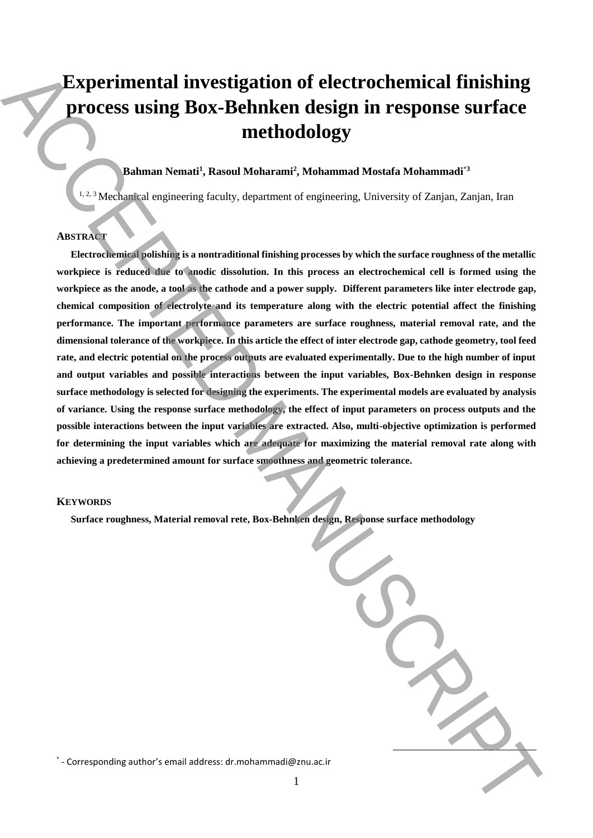# **Experimental investigation of electrochemical finishing process using Box-Behnken design in response surface methodology**

## **Bahman Nemati<sup>1</sup> , Rasoul Moharami<sup>2</sup> , Mohammad Mostafa Mohammadi**\***<sup>3</sup>**

<sup>1, 2, 3</sup> Mechanical engineering faculty, department of engineering, University of Zanjan, Zanjan, Iran

### **ABSTRACT**

**Electrochemical polishing is a nontraditional finishing processes by which the surface roughness of the metallic workpiece is reduced due to anodic dissolution. In this process an electrochemical cell is formed using the workpiece as the anode, a tool as the cathode and a power supply. Different parameters like inter electrode gap, chemical composition of electrolyte and its temperature along with the electric potential affect the finishing performance. The important performance parameters are surface roughness, material removal rate, and the dimensional tolerance of the workpiece. In this article the effect of inter electrode gap, cathode geometry, tool feed rate, and electric potential on the process outputs are evaluated experimentally. Due to the high number of input and output variables and possible interactions between the input variables, Box-Behnken design in response surface methodology is selected for designing the experiments. The experimental models are evaluated by analysis of variance. Using the response surface methodology, the effect of input parameters on process outputs and the possible interactions between the input variables are extracted. Also, multi-objective optimization is performed for determining the input variables which are adequate for maximizing the material removal rate along with achieving a predetermined amount for surface smoothness and geometric tolerance.** Experimental investigation of electrochemical finishing<br>
process using Box-Behnken design in response surface<br>
methodology<br>  $\sum_{k}$ <br>  $\sum_{k}$ <br>  $\sum_{k}$ <br>  $\sum_{k}$ <br>  $\sum_{k}$ <br>  $\sum_{k}$ <br>  $\sum_{k}$ <br>  $\sum_{k}$ <br>  $\sum_{k}$ <br>  $\sum_{k}$ <br>  $\sum_{k}$ 

#### **KEYWORDS**

**Surface roughness, Material removal rete, Box-Behnken design, Response surface methodology**

\* - Corresponding author's email address: dr.mohammadi@znu.ac.ir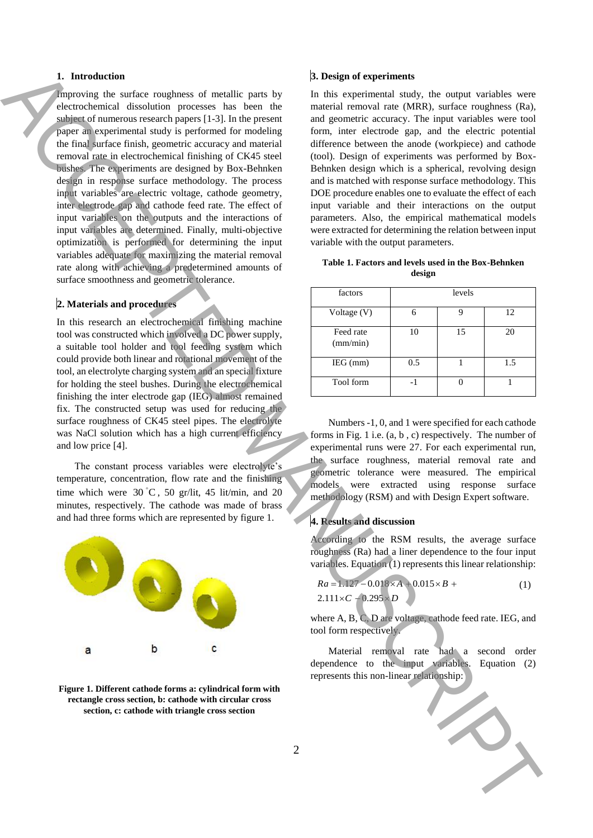#### **1. Introduction**

Improving the surface roughness of metallic parts by electrochemical dissolution processes has been the subject of numerous research papers [1-3]. In the present paper an experimental study is performed for modeling the final surface finish, geometric accuracy and material removal rate in electrochemical finishing of CK45 steel bushes. The experiments are designed by Box-Behnken design in response surface methodology. The process input variables are electric voltage, cathode geometry, inter electrode gap and cathode feed rate. The effect of input variables on the outputs and the interactions of input variables are determined. Finally, multi-objective optimization is performed for determining the input variables adequate for maximizing the material removal rate along with achieving a predetermined amounts of surface smoothness and geometric tolerance. For the state of the state of the state in the state of the state of the state of the state of the state of the state of the state of the state of the state of the state of the state of the state of the state of the state

#### **2. Materials and procedures**

In this research an electrochemical finishing machine tool was constructed which involved a DC power supply, a suitable tool holder and tool feeding system which could provide both linear and rotational movement of the tool, an electrolyte charging system and an special fixture for holding the steel bushes. During the electrochemical finishing the inter electrode gap (IEG) almost remained fix. The constructed setup was used for reducing the surface roughness of CK45 steel pipes. The electrolyte was NaCl solution which has a high current efficiency and low price [4].

The constant process variables were electrolyte's temperature, concentration, flow rate and the finishing time which were  $30^{\circ}$ C, 50 gr/lit, 45 lit/min, and 20 minutes, respectively. The cathode was made of brass and had three forms which are represented by figure 1.



**Figure 1. Different cathode forms a: cylindrical form with rectangle cross section, b: cathode with circular cross section, c: cathode with triangle cross section**

#### **3. Design of experiments**

In this experimental study, the output variables were material removal rate (MRR), surface roughness (Ra), and geometric accuracy. The input variables were tool form, inter electrode gap, and the electric potential difference between the anode (workpiece) and cathode (tool). Design of experiments was performed by Box-Behnken design which is a spherical, revolving design and is matched with response surface methodology. This DOE procedure enables one to evaluate the effect of each input variable and their interactions on the output parameters. Also, the empirical mathematical models were extracted for determining the relation between input variable with the output parameters.

|        |  |  |  |  | Table 1. Factors and levels used in the Box-Behnken |  |
|--------|--|--|--|--|-----------------------------------------------------|--|
| design |  |  |  |  |                                                     |  |

| factors               | levels |    |     |
|-----------------------|--------|----|-----|
| Voltage (V)           | 6      |    | 12  |
| Feed rate<br>(mm/min) | 10     | 15 | 20  |
| $IEG$ (mm)            | 0.5    |    | 1.5 |
| Tool form             |        |    |     |

Numbers -1, 0, and 1 were specified for each cathode forms in Fig. 1 i.e. (a, b , c) respectively. The number of experimental runs were 27. For each experimental run, the surface roughness, material removal rate and geometric tolerance were measured. The empirical models were extracted using response surface methodology (RSM) and with Design Expert software.

## **4. Results and discussion**

According to the RSM results, the average surface roughness (Ra) had a liner dependence to the four input variables. Equation (1) represents this linear relationship:

$$
Ra = 1.127 - 0.018 \times A + 0.015 \times B +
$$
  
2.111 \times C + 0.295 \times D (1)

where A, B, C, D are voltage, cathode feed rate. IEG, and tool form respectively.

Material removal rate had a second order dependence to the input variables. Equation (2)